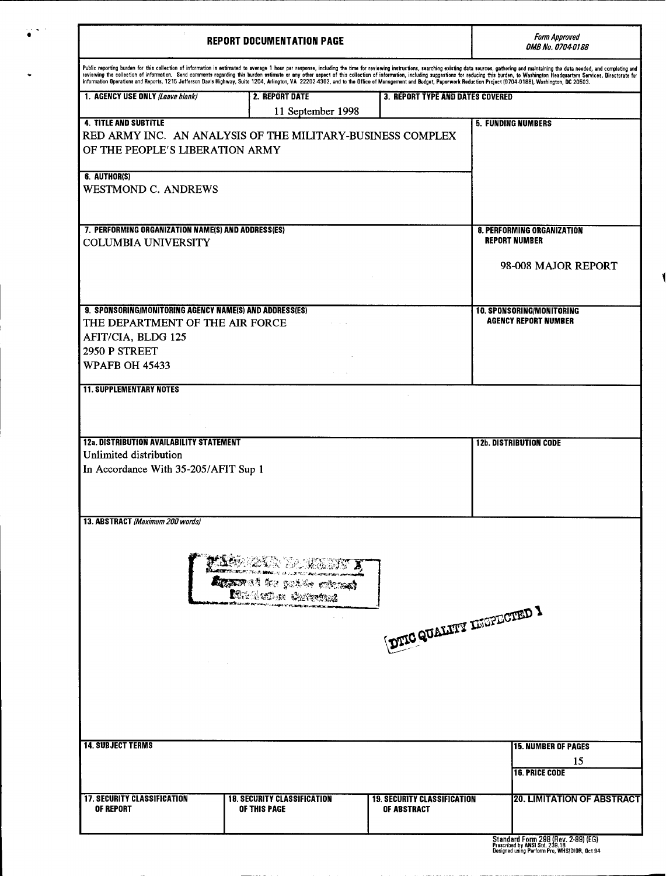|                                                                                                                                                                                                                                                                                                                                                                                                                                                      | <b>REPORT DOCUMENTATION PAGE</b>                      |                                                   |                                                                 |
|------------------------------------------------------------------------------------------------------------------------------------------------------------------------------------------------------------------------------------------------------------------------------------------------------------------------------------------------------------------------------------------------------------------------------------------------------|-------------------------------------------------------|---------------------------------------------------|-----------------------------------------------------------------|
| Public reporting burden for this collection of information is estimated to average 1 hour per response, including the time for reviewing instructions, searching existing data sources, gathering and maintaining the data nee<br>Information Operations and Reports, 1215 Jefferson Davis Highway, Suite 1204, Arlington, VA 22202-4302, and to the Office of Management and Budget, Paperwork Reduction Project (0704-0188), Washington, DC 20503. |                                                       |                                                   |                                                                 |
| 1. AGENCY USE ONLY (Leave blank)                                                                                                                                                                                                                                                                                                                                                                                                                     | 2. REPORT DATE                                        | <b>3. REPORT TYPE AND DATES COVERED</b>           |                                                                 |
|                                                                                                                                                                                                                                                                                                                                                                                                                                                      | 11 September 1998                                     |                                                   |                                                                 |
| <b>4. TITLE AND SUBTITLE</b>                                                                                                                                                                                                                                                                                                                                                                                                                         |                                                       |                                                   | <b>5. FUNDING NUMBERS</b>                                       |
| RED ARMY INC. AN ANALYSIS OF THE MILITARY-BUSINESS COMPLEX<br>OF THE PEOPLE'S LIBERATION ARMY                                                                                                                                                                                                                                                                                                                                                        |                                                       |                                                   |                                                                 |
| 6. AUTHOR(S)<br><b>WESTMOND C. ANDREWS</b>                                                                                                                                                                                                                                                                                                                                                                                                           |                                                       |                                                   |                                                                 |
| 7. PERFORMING ORGANIZATION NAME(S) AND ADDRESS(ES)<br><b>COLUMBIA UNIVERSITY</b>                                                                                                                                                                                                                                                                                                                                                                     |                                                       |                                                   | <b>8. PERFORMING ORGANIZATION</b><br><b>REPORT NUMBER</b>       |
|                                                                                                                                                                                                                                                                                                                                                                                                                                                      |                                                       |                                                   | 98-008 MAJOR REPORT                                             |
|                                                                                                                                                                                                                                                                                                                                                                                                                                                      |                                                       |                                                   |                                                                 |
| 9. SPONSORING/MONITORING AGENCY NAME(S) AND ADDRESS(ES)                                                                                                                                                                                                                                                                                                                                                                                              |                                                       |                                                   | <b>10. SPONSORING/MONITORING</b><br><b>AGENCY REPORT NUMBER</b> |
| THE DEPARTMENT OF THE AIR FORCE                                                                                                                                                                                                                                                                                                                                                                                                                      | and a state                                           |                                                   |                                                                 |
| AFIT/CIA, BLDG 125                                                                                                                                                                                                                                                                                                                                                                                                                                   |                                                       |                                                   |                                                                 |
| 2950 P STREET                                                                                                                                                                                                                                                                                                                                                                                                                                        |                                                       |                                                   |                                                                 |
| <b>WPAFB OH 45433</b>                                                                                                                                                                                                                                                                                                                                                                                                                                |                                                       |                                                   |                                                                 |
|                                                                                                                                                                                                                                                                                                                                                                                                                                                      |                                                       |                                                   |                                                                 |
| <b>12a. DISTRIBUTION AVAILABILITY STATEMENT</b><br>Unlimited distribution<br>In Accordance With 35-205/AFIT Sup 1<br>13. ABSTRACT (Maximum 200 words)                                                                                                                                                                                                                                                                                                |                                                       |                                                   | <b>12b. DISTRIBUTION CODE</b>                                   |
|                                                                                                                                                                                                                                                                                                                                                                                                                                                      | 2028 SAMININ I<br><b>Agaar</b> of the public microsof | DTIC QUALITY INGPECTED 1                          |                                                                 |
| <b>14. SUBJECT TERMS</b>                                                                                                                                                                                                                                                                                                                                                                                                                             |                                                       |                                                   | <b>15. NUMBER OF PAGES</b><br>15<br><b>16. PRICE CODE</b>       |
| <b>17. SECURITY CLASSIFICATION</b><br>OF REPORT                                                                                                                                                                                                                                                                                                                                                                                                      | <b>18. SECURITY CLASSIFICATION</b><br>OF THIS PAGE    | <b>19. SECURITY CLASSIFICATION</b><br>OF ABSTRACT | <b>20. LIMITATION OF ABSTRACT</b>                               |

Standard Form 298 **(Hev. 2-89) (EG)** Prescribed **by ANSI Sid.** 2 **9.18** Designed using Perform Pro, **WHSIDIOR,** Oct **<sup>94</sup>**

 $\blacksquare$ 

 $\ddot{\phantom{0}}$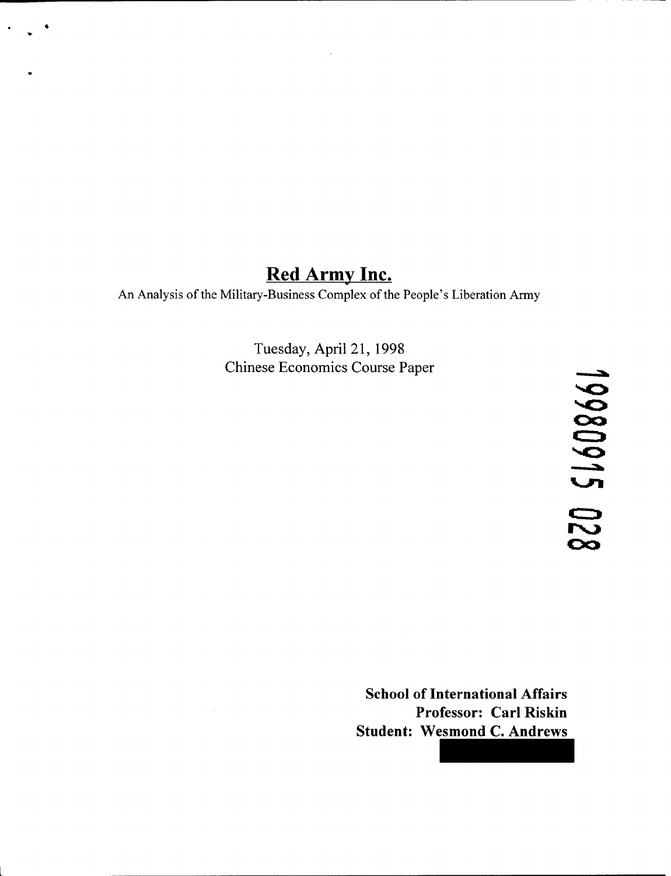# **Red Army Inc.**

An Analysis of the Military-Business Complex of the People's Liberation Army

Tuesday, April 21, 1998 Chinese Economics Course Paper

19980915 02

**School of International Affairs Professor: Carl Riskin Student: Wesmond C. Andrews**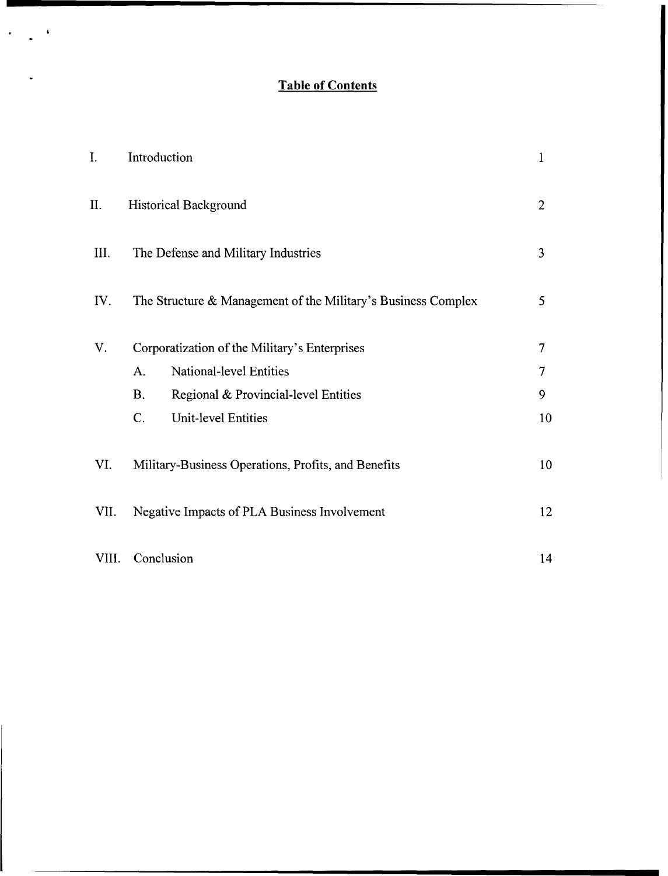## **Table of Contents**

 $\ddot{\phantom{a}}$ 

 $\ddot{\bullet}$ 

 $\overline{a}$ 

| I.    | Introduction                                                  | $\mathbf{1}$   |  |
|-------|---------------------------------------------------------------|----------------|--|
| II.   | <b>Historical Background</b>                                  | $\overline{2}$ |  |
| III.  | The Defense and Military Industries                           |                |  |
| IV.   | The Structure & Management of the Military's Business Complex | 5              |  |
| V.    | Corporatization of the Military's Enterprises                 |                |  |
|       | National-level Entities<br>A.                                 | 7              |  |
|       | <b>B.</b><br>Regional & Provincial-level Entities             | 9              |  |
|       | C.<br><b>Unit-level Entities</b>                              | 10             |  |
| VI.   | Military-Business Operations, Profits, and Benefits           |                |  |
| VII.  | Negative Impacts of PLA Business Involvement                  |                |  |
| VIII. | Conclusion                                                    | 14             |  |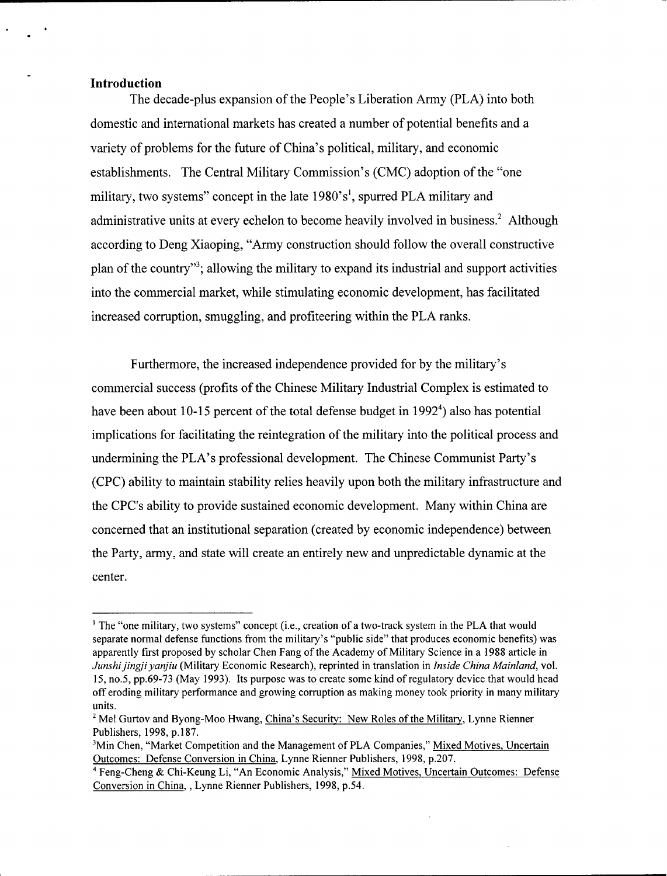### **Introduction**

The decade-plus expansion of the People's Liberation Army (PLA) into both domestic and international markets has created a number of potential benefits and a variety of problems for the future of China's political, military, and economic establishments. The Central Military Commission's (CMC) adoption of the "one military, two systems" concept in the late 1980's<sup>1</sup>, spurred PLA military and administrative units at every echelon to become heavily involved in business.<sup>2</sup> Although according to Deng Xiaoping, "Army construction should follow the overall constructive plan of the country"<sup>3</sup>; allowing the military to expand its industrial and support activities into the commercial market, while stimulating economic development, has facilitated increased corruption, smuggling, and profiteering within the PLA ranks.

Furthermore, the increased independence provided for by the military's commercial success (profits of the Chinese Military Industrial Complex is estimated to have been about 10-15 percent of the total defense budget in 1992<sup>4</sup>) also has potential implications for facilitating the reintegration of the military into the political process and undermining the PLA's professional development. The Chinese Communist Party's (CPC) ability to maintain stability relies heavily upon both the military infrastructure and the CPC's ability to provide sustained economic development. Many within China are concerned that an institutional separation (created by economic independence) between the Party, army, and state will create an entirely new and unpredictable dynamic at the center.

<sup>&</sup>lt;sup>1</sup> The "one military, two systems" concept (i.e., creation of a two-track system in the PLA that would separate normal defense functions from the military's "public side" that produces economic benefits) was apparently first proposed by scholar Chen Fang of the Academy of Military Science in a 1988 article in *Junshijingiiyanjiu* (Military Economic Research), reprinted in translation in *Inside China Mainland,* vol. *15,* no.5, pp.69-73 (May 1993). Its purpose was to create some kind of regulatory device that would head off eroding military performance and growing corruption as making money took priority in many military units.

<sup>&</sup>lt;sup>2</sup> Mel Gurtov and Byong-Moo Hwang, China's Security: New Roles of the Military, Lynne Rienner Publishers, 1998, p.187.

<sup>&</sup>lt;sup>3</sup>Min Chen, "Market Competition and the Management of PLA Companies," Mixed Motives, Uncertain Outcomes: Defense Conversion in China, Lynne Rienner Publishers, 1998, p.207.

**<sup>&#</sup>x27;** Feng-Cheng & Chi-Keung Li, "An Economic Analysis," Mixed Motives, Uncertain Outcomes: Defense Conversion in China,, Lynne Rienner Publishers, 1998, p.54.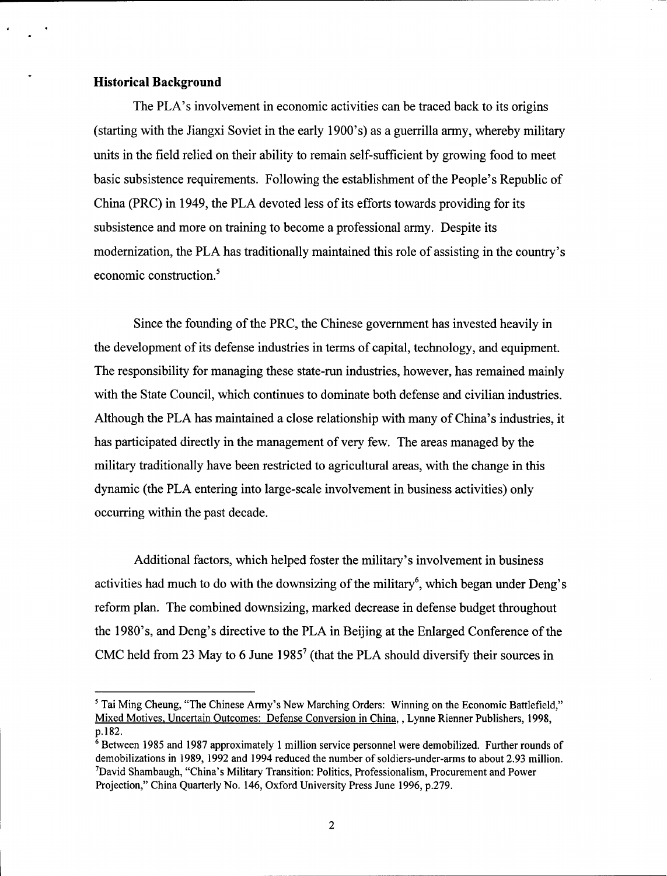### **Historical Background**

The PLA's involvement in economic activities can be traced back to its origins (starting with the Jiangxi Soviet in the early 1900's) as a guerrilla army, whereby military units in the field relied on their ability to remain self-sufficient by growing food to meet basic subsistence requirements. Following the establishment of the People's Republic of China (PRC) in 1949, the PLA devoted less of its efforts towards providing for its subsistence and more on training to become a professional army. Despite its modernization, the PLA has traditionally maintained this role of assisting in the country's economic construction.<sup>5</sup>

Since the founding of the PRC, the Chinese government has invested heavily in the development of its defense industries in terms of capital, technology, and equipment. The responsibility for managing these state-run industries, however, has remained mainly with the State Council, which continues to dominate both defense and civilian industries. Although the PLA has maintained a close relationship with many of China's industries, it has participated directly in the management of very few. The areas managed by the military traditionally have been restricted to agricultural areas, with the change in this dynamic (the PLA entering into large-scale involvement in business activities) only occurring within the past decade.

Additional factors, which helped foster the military's involvement in business activities had much to do with the downsizing of the military<sup>6</sup>, which began under Deng's reform plan. The combined downsizing, marked decrease in defense budget throughout the 1980's, and Deng's directive to the PLA in Beijing at the Enlarged Conference of the CMC held from 23 May to 6 June **19857** (that the PLA should diversify their sources in

**<sup>&#</sup>x27;** Tai Ming Cheung, "The Chinese Army's New Marching Orders: Winning on the Economic Battlefield," Mixed Motives, Uncertain Outcomes: Defense Conversion in China, , Lynne Rienner Publishers, **1998,** p. 182.

**<sup>6</sup>** Between 1985 and 1987 approximately 1 million service personnel were demobilized. Further rounds of demobilizations in **1989, 1992** and 1994 reduced the number of soldiers-under-arms to about 2.93 million. 7 David Shambaugh, "China's Military Transition: Politics, Professionalism, Procurement and Power Projection," China Quarterly No. 146, Oxford University Press June 1996, p.279.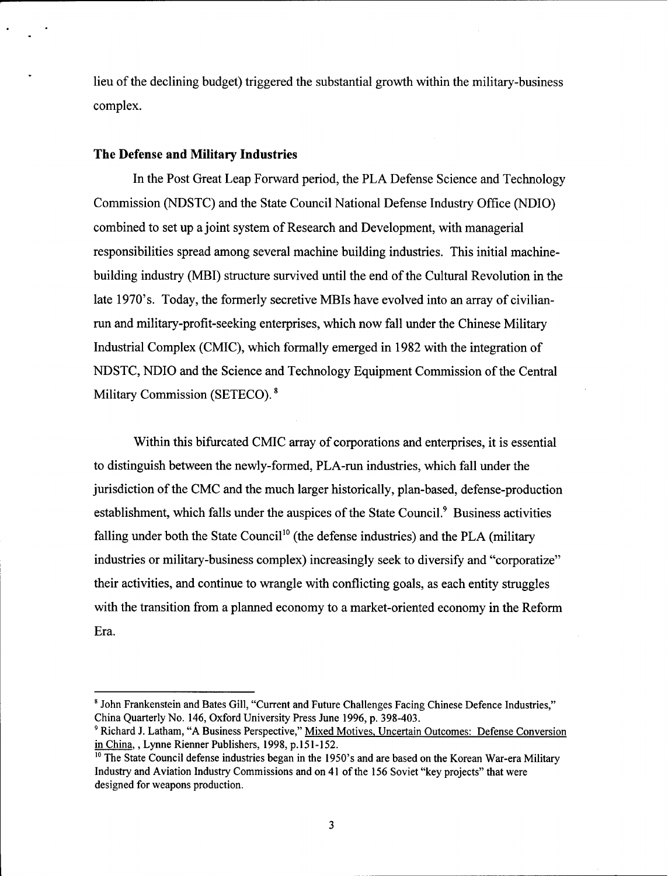lieu of the declining budget) triggered the substantial growth within the military-business complex.

### **The Defense and Military Industries**

In the Post Great Leap Forward period, the PLA Defense Science and Technology Commission **(NDSTC)** and the State Council National Defense Industry Office **(NDIO)** combined to set up a joint system of Research and Development, with managerial responsibilities spread among several machine building industries. This initial machinebuilding industry (MBI) structure survived until the end of the Cultural Revolution in the late 1970's. Today, the formerly secretive MBIs have evolved into an array of civilianrun and military-profit-seeking enterprises, which now fall under the Chinese Military Industrial Complex (CMIC), which formally emerged in 1982 with the integration of NDSTC, NDIO and the Science and Technology Equipment Commission of the Central Military Commission (SETECO). **<sup>8</sup>**

Within this bifurcated CMIC array of corporations and enterprises, it is essential to distinguish between the newly-formed, PLA-run industries, which fall under the jurisdiction of the CMC and the much larger historically, plan-based, defense-production establishment, which falls under the auspices of the State Council.<sup>9</sup> Business activities falling under both the State Council<sup>10</sup> (the defense industries) and the PLA (military industries or military-business complex) increasingly seek to diversify and "corporatize" their activities, and continue to wrangle with conflicting goals, as each entity struggles with the transition from a planned economy to a market-oriented economy in the Reform Era.

<sup>&</sup>lt;sup>8</sup> John Frankenstein and Bates Gill, "Current and Future Challenges Facing Chinese Defence Industries," China Quarterly No. 146, Oxford University Press June 1996, p. 398-403.

<sup>9</sup> Richard J. Latham, "A Business Perspective," Mixed Motives, Uncertain Outcomes: Defense Conversion in China, , Lynne Rienner Publishers, 1998, p.151-152.

<sup>&</sup>lt;sup>10</sup> The State Council defense industries began in the 1950's and are based on the Korean War-era Military Industry and Aviation Industry Commissions and on 41 of the 156 Soviet "key projects" that were designed for weapons production.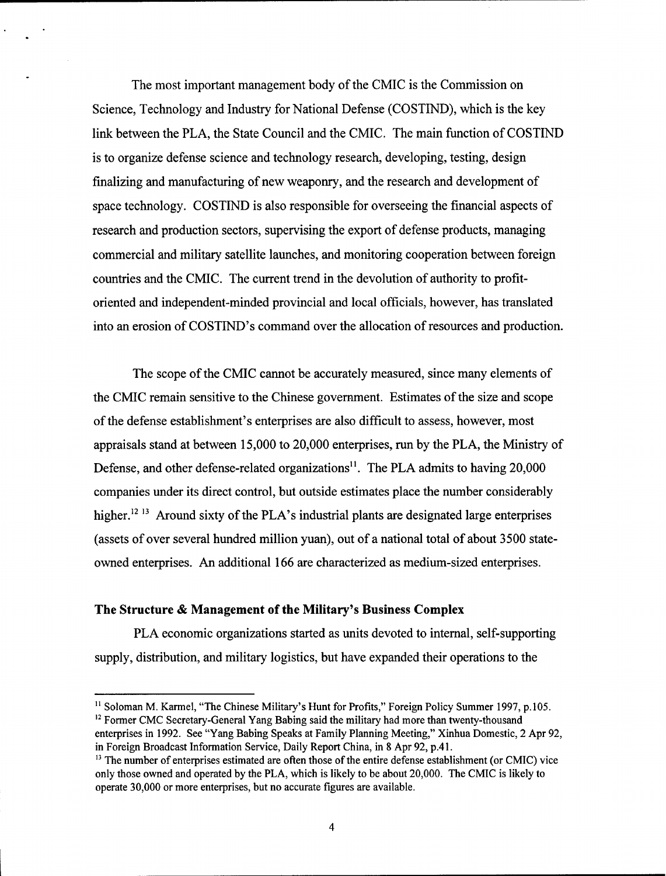The most important management body of the CMIC is the Commission on Science, Technology and Industry for National Defense (COSTIND), which is the key link between the PLA, the State Council and the CMIC. The main function of COSTIND is to organize defense science and technology research, developing, testing, design finalizing and manufacturing of new weaponry, and the research and development of space technology. COSTIND is also responsible for overseeing the financial aspects of research and production sectors, supervising the export of defense products, managing commercial and military satellite launches, and monitoring cooperation between foreign countries and the CMIC. The current trend in the devolution of authority to profitoriented and independent-minded provincial and local officials, however, has translated into an erosion of COSTIND's command over the allocation of resources and production.

The scope of the CMIC cannot be accurately measured, since many elements of the CMIC remain sensitive to the Chinese government. Estimates of the size and scope of the defense establishment's enterprises are also difficult to assess, however, most appraisals stand at between 15,000 to 20,000 enterprises, run by the PLA, the Ministry of Defense, and other defense-related organizations<sup>11</sup>. The PLA admits to having 20,000 companies under its direct control, but outside estimates place the number considerably higher.12 **13** Around sixty of the PLA's industrial plants are designated large enterprises (assets of over several hundred million yuan), out of a national total of about 3500 stateowned enterprises. An additional 166 are characterized as medium-sized enterprises.

### The Structure **& Management of the Military's Business Complex**

PLA economic organizations started as units devoted to internal, self-supporting supply, distribution, and military logistics, but have expanded their operations to the

<sup>&</sup>lt;sup>11</sup> Soloman M. Karmel, "The Chinese Military's Hunt for Profits," Foreign Policy Summer 1997, p.105. **<sup>12</sup>**Former **CMC** Secretary-General Yang Babing said the military had more than twenty-thousand

enterprises in **1992.** See "Yang Babing Speaks at Family Planning Meeting," Xinhua Domestic, 2 Apr **92,** in Foreign Broadcast Information Service, Daily Report China, in **8** Apr **92, p.41.**

**<sup>13</sup>** The number of enterprises estimated are often those of the entire defense establishment (or CMIC) vice only those owned and operated **by** the PLA, which is likely to be about 20,000. The CMIC is likely to operate **30,000** or more enterprises, but no accurate figures are available.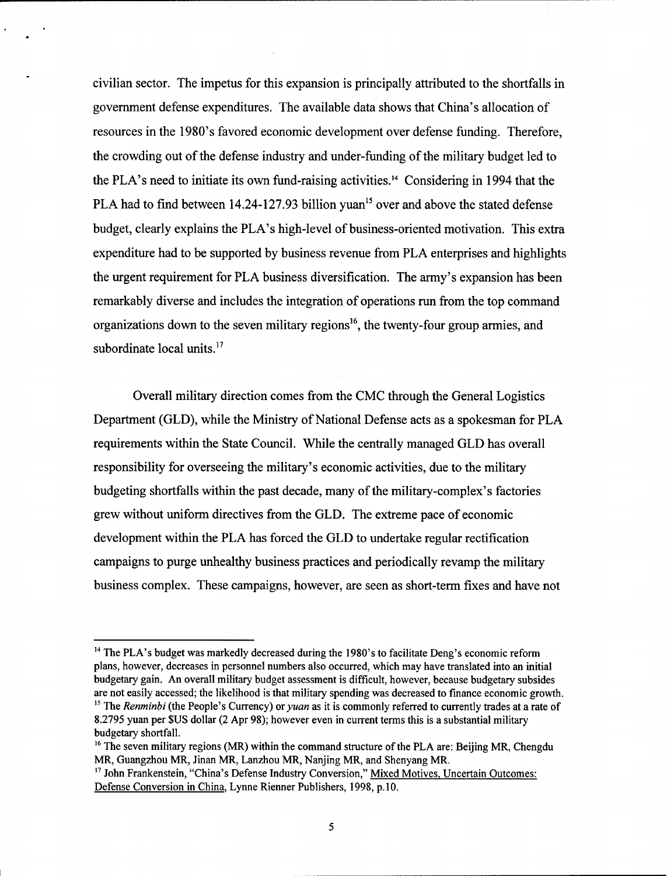civilian sector. The impetus for this expansion is principally attributed to the shortfalls in government defense expenditures. The available data shows that China's allocation of resources in the 1980's favored economic development over defense funding. Therefore, the crowding out of the defense industry and under-funding of the military budget led to the PLA's need to initiate its own fund-raising activities." Considering in 1994 that the PLA had to find between  $14.24$ -127.93 billion yuan<sup>15</sup> over and above the stated defense budget, clearly explains the PLA's high-level of business-oriented motivation. This extra expenditure had to be supported by business revenue from PLA enterprises and highlights the urgent requirement for PLA business diversification. The army's expansion has been remarkably diverse and includes the integration of operations run from the top command organizations down to the seven military regions<sup>16</sup>, the twenty-four group armies, and subordinate local units. $17$ 

Overall military direction comes from the CMC through the General Logistics Department (GLD), while the Ministry of National Defense acts as a spokesman for PLA requirements within the State Council. While the centrally managed GLD has overall responsibility for overseeing the military's economic activities, due to the military budgeting shortfalls within the past decade, many of the military-complex's factories grew without uniform directives from the GLD. The extreme pace of economic development within the PLA has forced the GLD to undertake regular rectification campaigns to purge unhealthy business practices and periodically revamp the military business complex. These campaigns, however, are seen as short-term fixes and have not

<sup>&</sup>lt;sup>14</sup> The PLA's budget was markedly decreased during the 1980's to facilitate Deng's economic reform plans, however, decreases in personnel numbers also occurred, which may have translated into an initial budgetary gain. An overall military budget assessment is difficult, however, because budgetary subsides are not easily accessed; the likelihood is that military spending was decreased to finance economic growth. <sup>15</sup> The *Renminbi* (the People's Currency) or *yuan* as it is commonly referred to currently trades at a rate of 8.2795 yuan per \$US dollar (2 Apr 98); however even in current terms this is a substantial military budgetary shortfall.

<sup>&</sup>lt;sup>16</sup> The seven military regions (MR) within the command structure of the PLA are: Beijing MR, Chengdu MR, Guangzhou MR, Jinan MR, Lanzhou MR, Nanjing MR, and Shenyang MR.

**<sup>17</sup>**John Frankenstein, "China's Defense Industry Conversion," Mixed Motives, Uncertain Outcomes: Defense Conversion in China, Lynne Rienner Publishers, 1998, p. **10.**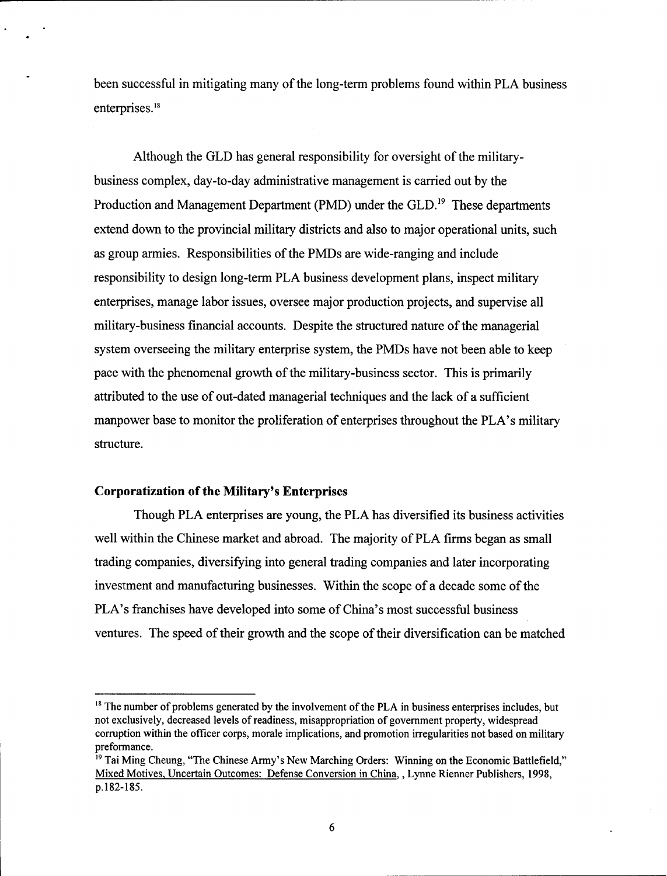been successful in mitigating many of the long-term problems found within PLA business enterprises.<sup>18</sup>

Although the GLD has general responsibility for oversight of the militarybusiness complex, day-to-day administrative management is carried out **by** the Production and Management Department (PMD) under the GLD.<sup>19</sup> These departments extend down to the provincial military districts and also to major operational units, such as group armies. Responsibilities of the PMDs are wide-ranging and include responsibility to design long-term PLA business development plans, inspect military enterprises, manage labor issues, oversee major production projects, and supervise all military-business financial accounts. Despite the structured nature of the managerial system overseeing the military enterprise system, the PMDs have not been able to keep pace with the phenomenal growth of the military-business sector. This is primarily attributed to the use of out-dated managerial techniques and the lack of a sufficient manpower base to monitor the proliferation of enterprises throughout the PLA's military structure.

### **Corporatization of the Military's Enterprises**

Though PLA enterprises **are** young, the PLA has diversified its business activities well within the Chinese market and abroad. The majority of PLA firms began as small trading companies, diversifying into general trading companies and later incorporating investment and manufacturing businesses. Within the scope of a decade some of the PLA's franchises have developed into some of China's most successful business ventures. The speed of their growth and the scope of their diversification can be matched

<sup>&</sup>lt;sup>18</sup> The number of problems generated by the involvement of the PLA in business enterprises includes, but not exclusively, decreased levels of readiness, misappropriation of government property, widespread corruption within the officer corps, morale implications, and promotion irregularities not based on military preformance.

<sup>&</sup>lt;sup>19</sup> Tai Ming Cheung, "The Chinese Army's New Marching Orders: Winning on the Economic Battlefield," Mixed Motives, Uncertain Outcomes: Defense Conversion in China, , Lynne Rienner Publishers, 1998, p.182-185.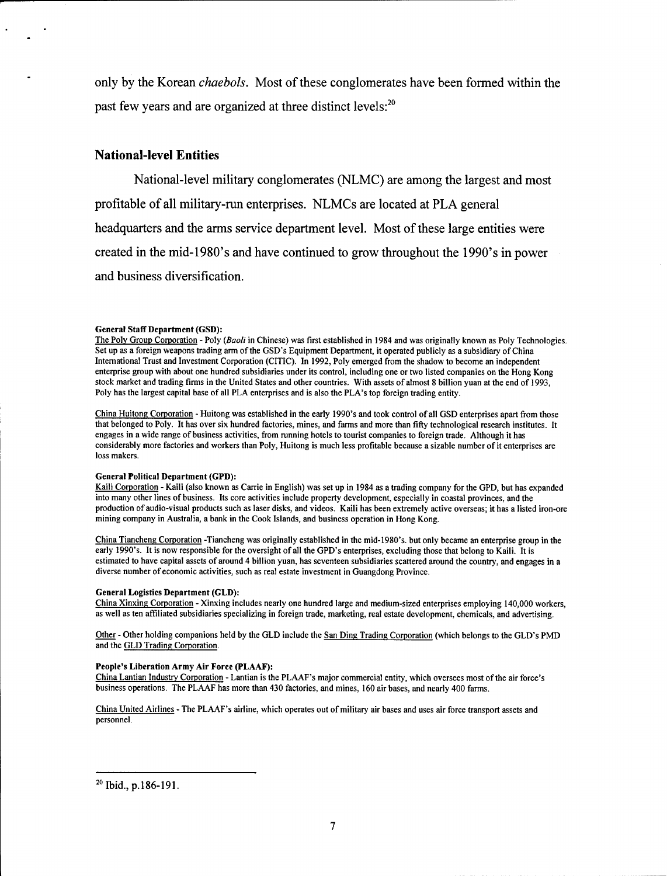only **by** the Korean *chaebols.* Most of these conglomerates have been formed within the past few years and are organized at three distinct levels:<sup>2</sup>

### National-level Entities

National-level military conglomerates **(NLMC)** are among the largest and most profitable of all military-run enterprises. NLMCs are located at PLA general headquarters and the arms service department level. Most of these large entities were created in the mid-1980's and have continued to grow throughout the 1990's in power and business diversification.

#### **General Staff Department (GSD):**

The Poly Group Corporation - Poly (Baoli in Chinese) was first established in 1984 and was originally known as Poly Technologies. Set up as a foreign weapons trading arm of the GSD's Equipment Department, it operated publicly as a subsidiary of China International Trust and Investment Corporation (CITIC). In 1992, Poly emerged from the shadow to become an independent enterprise group with about one hundred subsidiaries under its control, including one or two listed companies on the Hong Kong stock market and trading firms in the United States and other countries. With assets of almost 8 billion yuan at the end of 1993, Poly has the largest capital base of all PLA enterprises and is also the PLA's top foreign trading entity.

China Huitong Corporation - Huitong was established in the early 1990's and took control of all **GSD** enterprises apart from those that belonged to Poly. It has over six hundred factories, mines, and farms and more than fifty technological research institutes. It engages in a wide range of business activities, from running hotels to tourist companies to foreign trade. Although it has considerably more factories and workers than Poly, Huitong is much less profitable because a sizable number of it enterprises are loss makers.

#### General Political Department **(GPD):**

Kaili Corporation **-** Kaili (also known as Carrie in English) was set up in 1984 as a trading company for the GPD, but has expanded into many other lines of business. Its core activities include property development, especially in coastal provinces, and the production of audio-visual products such as laser disks, and videos. Kaili has been extremely active overseas; it has a listed iron-ore mining company in Australia, a bank in the Cook Islands, and business operation in Hong Kong.

China Tiancheng Corporation -Tiancheng was originally established in the mid-1980's. but only became an enterprise group in the early 1990's. It is now responsible for the oversight of all the GPD's enterprises, excluding those that belong to Kaili. It is estimated to have capital assets of around 4 billion yuan, has seventeen subsidiaries scattered around the country, and engages in a diverse number of economic activities, such as real estate investment in Guangdong Province.

#### General Logistics Department **(GLD):**

China Xinxing Corporation **-** Xinxing includes nearly one hundred large and medium-sized enterprises employing 140,000 workers, as well as ten affiliated subsidiaries specializing in foreign trade, marketing, real estate development, chemicals, and advertising.

Other - Other holding companions held by the GLD include the San Ding Trading Corporation (which belongs to the GLD's PMD and the GLD Trading Corporation.

#### People's **Liberation Army Air Force (PLAAF):**

China Lantian Industry Corporation **-** Lantian is the PLAAF's major commercial entity, which oversees most of the air force's business operations. The **PLAAF** has more than 430 factories, and mines, **160** air bases, and nearly 400 farms.

China United Airlines **-** The PLAAF's airline, which operates out of military air bases and uses air force transport assets and personnel.

**<sup>20</sup>**Ibid., **p.186-191.**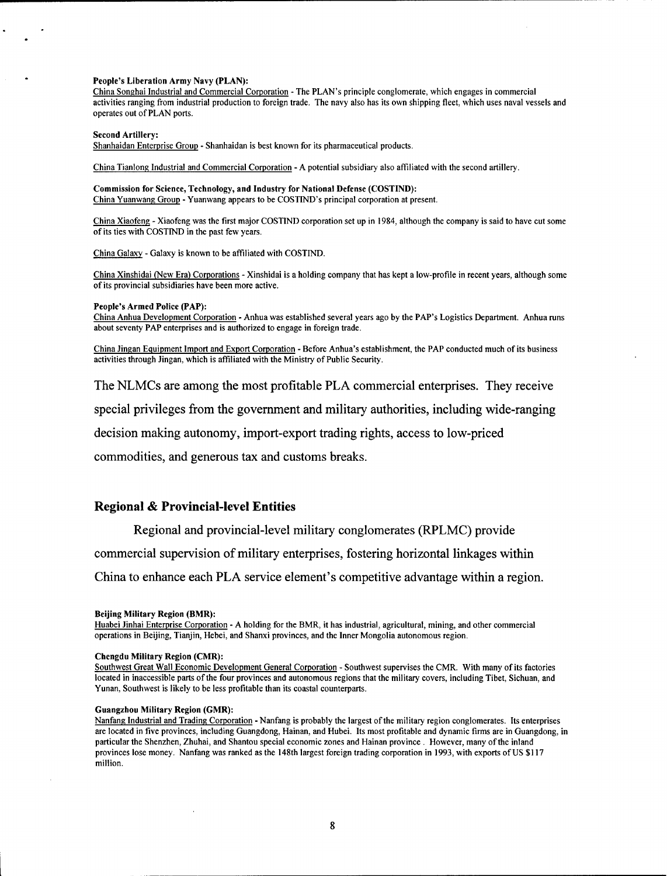#### **People's Liberation Army Navy (PLAN):**

China Songhai Industrial and Commercial Corporation **- The** PLAN's principle conglomerate, which engages in commercial activities ranging from industrial production to foreign trade. The navy also has its own shipping fleet, which uses naval vessels and operates out of PLAN ports.

#### Second Artillery:

Shanhaidan Enterprise Group - Shanhaidan is best known for its pharmaceutical products.

China Tianlong Industrial and Commercial Corporation - A potential subsidiary also affiliated with the second artillery.

#### Commission for Science, Technology, and Industry **for National Defense** (COSTIND): China Yuanwang Group - Yuanwang appears to be COSTIND's principal corporation at present.

China Xiaofeng - Xiaofeng was the first major COSTIND corporation set up in 1984, although the company is said to have cut some of its ties with COSTIND in the past few years.

China Galaxy **-** Galaxy is known to be affiliated with COSTIND.

China Xinshidai (New Era) Corporations - Xinshidai is a holding company that has kept a low-profile in recent years, although some of its provincial subsidiaries have been more active.

#### People's Armed Police **(PAP):**

China Anhua Development Corporation **-** Anhua was established several years ago by the PAP's Logistics Department. Anhua runs about seventy PAP enterprises and is authorized to engage in foreign trade.

China Jingan Equipment Import and Export Corporation - Before Anhua's establishment, the PAP conducted much of its business activities through Jingan, which is affiliated with the Ministry of Public Security.

The NLMCs are among the most profitable PLA commercial enterprises. They receive

special privileges from the government and military authorities, including wide-ranging

decision making autonomy, import-export trading rights, access to low-priced

commodities, and generous tax and customs breaks.

### **Regional & Provincial-level Entities**

Regional and provincial-level military conglomerates (RPLMC) provide

commercial supervision of military enterprises, fostering horizontal linkages within

China to enhance each PLA service element's competitive advantage within a region.

Huabei Jinhai Enterprise Corporation - A holding for the BMR, it has industrial, agricultural, mining, and other commercial operations in Beijing, Tianjin, Hebei, and Shanxi provinces, and the Inner Mongolia autonomous region.

Southwest Great Wall Economic Development General Corporation - Southwest supervises the CMR. With many of its factories located in inaccessible parts of the four provinces and autonomous regions that the military covers, including Tibet, Sichuan, and Yunan, Southwest is likely to be less profitable than its coastal counterparts.

#### Guangzhou Military Region (GMR):

Nanfang Industrial and Trading Corporation - Nanfang is probably the largest of the military region conglomerates. Its enterprises are located in five provinces, including Guangdong, Hainan, and Hubei. Its most profitable and dynamic firms are in Guangdong, in particular the Shenzhen, Zhuhai, and Shantou special economic zones and Hainan province . However, many of the inland provinces lose money. Nanfang was ranked as the 148th largest foreign trading corporation in 1993, with exports of US \$117 million.

**Beijing Military Region (BMR):**

Chengdu Military Region (CMR):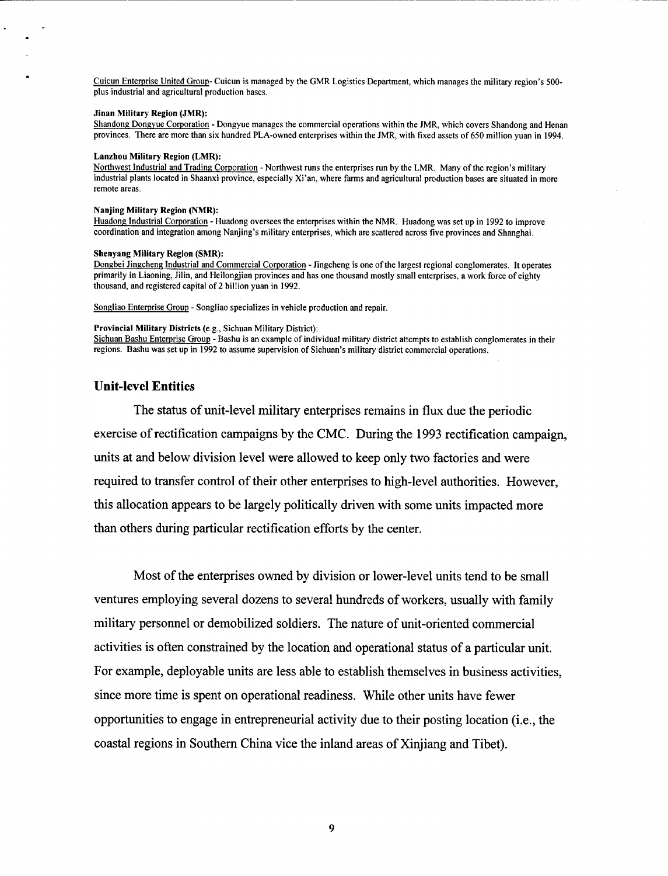Cuicun Enterprise United Group- Cuicun is managed by the GMR Logistics Department, which manages the military region's 500 plus industrial and agricultural production bases.

#### **Jinan Military Region (JMR):**

Shandong Dongyue Corporation - Dongyue manages the commercial operations within the JMR, which covers Shandong and Henan provinces. There are more than six hundred PLA-owned enterprises within the JMR, with fixed assets of 650 million yuan in 1994.

#### Lanzhou Military Region (LMR):

Northwest Industrial and Trading Corporation - Northwest runs the enterprises run by the LMR. Many of the region's military industrial plants located in Shaanxi province, especially Xi'an, where farms and agricultural production bases are situated in more remote areas.

#### Nanjing Military Region (NMR):

Huadong Industrial Corporation - Huadong oversees the enterprises within the NMR. Huadong was set up in 1992 to improve coordination and integration among Nanjing's military enterprises, which are scattered across five provinces and Shanghai.

#### Shenyang Military Region (SMR):

Dongbei Jingcheng Industrial and Commercial Corporation - Jingcheng is one of the largest regional conglomerates. It operates primarily in Liaoning, Jilin, and Heilongjian provinces and has one thousand mostly small enterprises, a work force of eighty thousand, and registered capital of 2 billion yuan in 1992.

Songliao Enterprise Group - Songliao specializes in vehicle production and repair.

#### Provincial Military Districts (e.g., Sichuan Military District):

Sichuan Bashu Enterprise Group **-** Bashu is an example of individual military district attempts to establish conglomerates in their regions. Bashu was set up in **1992** to assume supervision of Sichuan's military district commercial operations.

### **Unit-level Entities**

**The** status of unit-level military enterprises remains in flux due the periodic exercise of rectification campaigns **by** the **CMC.** During the **1993** rectification campaign, units at and below division level were allowed to keep only two factories and were required to transfer control of their other enterprises to high-level authorities. However, this allocation appears to be largely politically driven with some units impacted more than others during particular rectification efforts **by** the center.

Most of the enterprises owned **by** division or lower-level units tend to be small ventures employing several dozens to several hundreds of workers, usually with family military personnel or demobilized soldiers. The nature of unit-oriented commercial activities is often constrained **by** the location and operational status of a particular unit. For example, deployable units are less able to establish themselves in business activities, since more time is spent on operational readiness. While other units have fewer opportunities to engage in entrepreneurial activity due to their posting location (i.e., the coastal regions in Southern China vice the inland areas of Xinjiang and Tibet).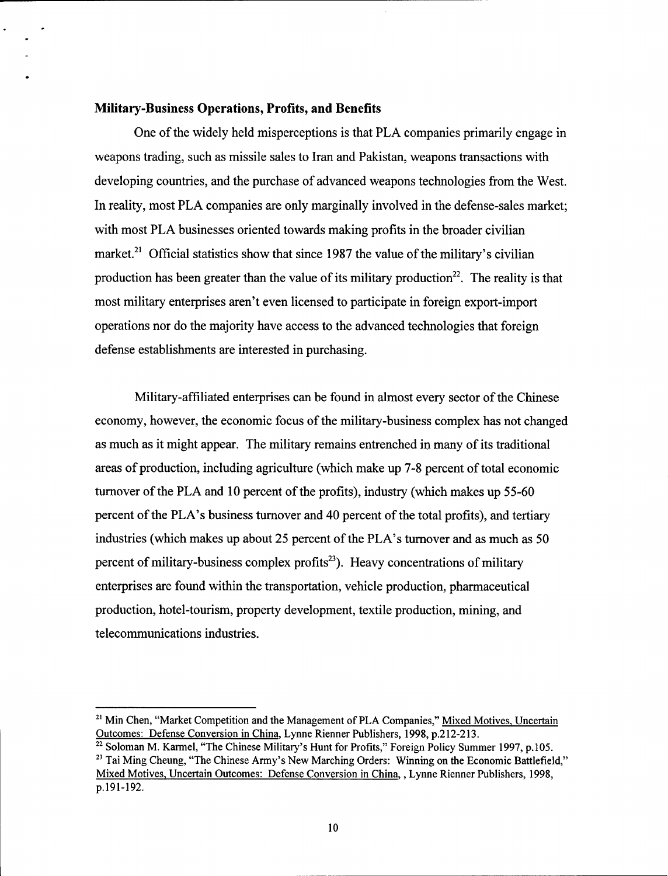### **Military-Business Operations, Profits, and Benefits**

**One** of the widely held misperceptions is that PLA companies primarily engage in weapons trading, such as missile sales to Iran and Pakistan, weapons transactions with developing countries, and the purchase of advanced weapons technologies from the West. In reality, most PLA companies are only marginally involved in the defense-sales market; with most PLA businesses oriented towards making profits in the broader civilian market.<sup>21</sup> Official statistics show that since 1987 the value of the military's civilian production has been greater than the value of its military production<sup>22</sup>. The reality is that most military enterprises aren't even licensed to participate in foreign export-import operations nor do the majority have access to the advanced technologies that foreign defense establishments are interested in purchasing.

Military-affiliated enterprises can be found in almost every sector of the Chinese economy, however, the economic focus of the military-business complex has not changed as much as it might appear. The military remains entrenched in many of its traditional areas of production, including agriculture (which make up 7-8 percent of total economic turnover of the PLA and 10 percent of the profits), industry (which makes up 55-60 percent of the PLA's business turnover and 40 percent of the total profits), and tertiary industries (which makes up about 25 percent of the PLA's turnover and as much as 50 percent of military-business complex profits<sup>23</sup>). Heavy concentrations of military enterprises are found within the transportation, vehicle production, pharmaceutical production, hotel-tourism, property development, textile production, mining, and telecommunications industries.

<sup>&</sup>lt;sup>21</sup> Min Chen, "Market Competition and the Management of PLA Companies," Mixed Motives, Uncertain Outcomes: Defense Conversion in China, Lynne Rienner Publishers, 1998, p. 212-213.<br><sup>22</sup> Soloman M. Karmel, "The Chinese Military's Hunt for Profits," Foreign Policy Summer 1997, p. 105.

 $\frac{22}{23}$  Soloman M. Karmel, "The Chinese Military's Hunt for Profits," Foreign Policy Summer 1997, p.105.<br><sup>23</sup> Tai Ming Cheung, "The Chinese Army's New Marching Orders: Winning on the Economic Battlefield,"

Mixed Motives, Uncertain Outcomes: Defense Conversion in China, , Lynne Rienner Publishers, 1998, p. <sup>19</sup> 1-192.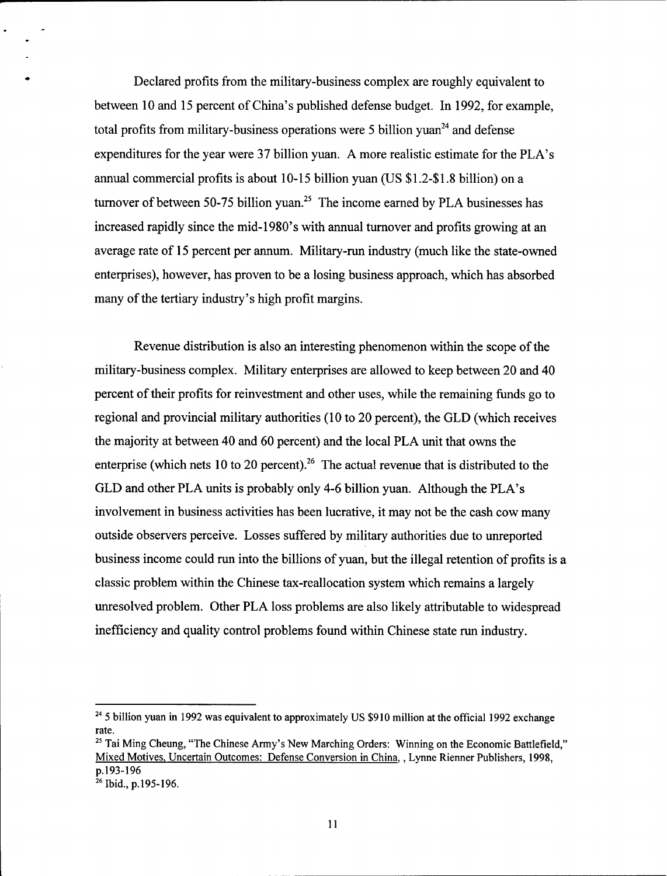Declared profits from the military-business complex are roughly equivalent to between 10 and 15 percent of China's published defense budget. In 1992, for example, total profits from military-business operations were 5 billion yuan<sup>24</sup> and defense expenditures for the year were 37 billion yuan. A more realistic estimate for the PLA's annual commercial profits is about 10-15 billion yuan (US \$1.2-\$1.8 billion) on a turnover of between 50-75 billion yuan.<sup>25</sup> The income earned by PLA businesses has increased rapidly since the mid-1980's with annual turnover and profits growing at an average rate of 15 percent per annum. Military-run industry (much like the state-owned enterprises), however, has proven to be a losing business approach, which has absorbed many of the tertiary industry's high profit margins.

Revenue distribution is also an interesting phenomenon within the scope of the military-business complex. Military enterprises are allowed to keep between 20 and 40 percent of their profits for reinvestment and other uses, while the remaining funds go to regional and provincial military authorities (10 to 20 percent), the GLD (which receives the majority at between 40 and 60 percent) and the local PLA unit that owns the enterprise (which nets 10 to 20 percent).<sup>26</sup> The actual revenue that is distributed to the GLD and other PLA units is probably only 4-6 billion yuan. Although the PLA's involvement in business activities has been lucrative, it may not be the cash cow many outside observers perceive. Losses suffered by military authorities due to unreported business income could run into the billions of yuan, but the illegal retention of profits is a classic problem within the Chinese tax-reallocation system which remains a largely unresolved problem. Other PLA loss problems are also likely attributable to widespread inefficiency and quality control problems found within Chinese state run industry.

<sup>&</sup>lt;sup>24</sup> 5 billion yuan in 1992 was equivalent to approximately US \$910 million at the official 1992 exchange rate.

<sup>&</sup>lt;sup>25</sup> Tai Ming Cheung, "The Chinese Army's New Marching Orders: Winning on the Economic Battlefield," Mixed Motives, Uncertain Outcomes: Defense Conversion in China, , Lynne Rienner Publishers, 1998, p.193-196

 $26$  Ibid., p.195-196.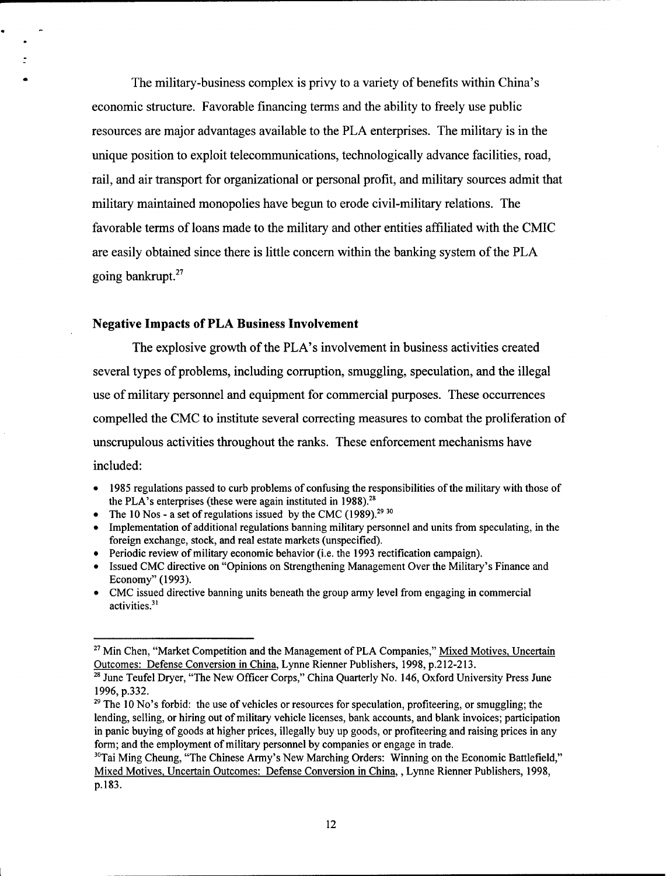The military-business complex is privy to a variety of benefits within China's economic structure. Favorable financing terms and the ability to freely use public resources are major advantages available to the PLA enterprises. The military is in the unique position to exploit telecommunications, technologically advance facilities, road, rail, and air transport for organizational or personal profit, and military sources admit that military maintained monopolies have begun to erode civil-military relations. The favorable terms of loans made to the military and other entities affiliated with the CMIC are easily obtained since there is little concern within the banking system of the PLA going bankrupt. $27$ 

### Negative **Impacts of PLA Business Involvement**

The explosive growth of the PLA's involvement in business activities created several types of problems, including corruption, smuggling, speculation, and the illegal use of military personnel and equipment for commercial purposes. These occurrences compelled the CMC to institute several correcting measures to combat the proliferation of unscrupulous activities throughout the ranks. These enforcement mechanisms have included:

- *\** 1985 regulations passed to curb problems of confusing the responsibilities of the military with those of the PLA's enterprises (these were again instituted in **1988).2"**
- The 10 Nos a set of regulations issued by the CMC (1989).<sup>29 30</sup>
- **\*** Implementation of additional regulations banning military personnel and units from speculating, in the foreign exchange, stock, and real estate markets (unspecified).
- Periodic review of military economic behavior (i.e. the 1993 rectification campaign).
- Issued CMC directive on "Opinions on Strengthening Management Over the Military's Finance and Economy" (1993).
- **\*** CMC issued directive banning units beneath the group army level from engaging in commercial activities.<sup>31</sup>

<sup>&</sup>lt;sup>27</sup> Min Chen, "Market Competition and the Management of PLA Companies," Mixed Motives, Uncertain Outcomes: Defense Conversion in China, Lynne Rienner Publishers, 1998, p. 212-213.<br><sup>28</sup> June Teufel Dryer, "The New Officer Corps," China Quarterly No. 146, Oxford University Press June

 $^{28}$  June Teufel Dryer, "The New Officer Corps," China Quarterly No. 146, Oxford University Press June 1996, p.332.

<sup>&</sup>lt;sup>29</sup> The 10 No's forbid: the use of vehicles or resources for speculation, profiteering, or smuggling; the lending, selling, or hiring out of military vehicle licenses, bank accounts, and blank invoices; participation in panic buying of goods at higher prices, illegally buy up goods, or profiteering and raising prices in any form; and the employment of military personnel by companies or engage in trade.

 $30$ Tai Ming Cheung, "The Chinese Army's New Marching Orders: Winning on the Economic Battlefield," Mixed Motives, Uncertain Outcomes: Defense Conversion in China, , Lynne Rienner Publishers, 1998, p.183.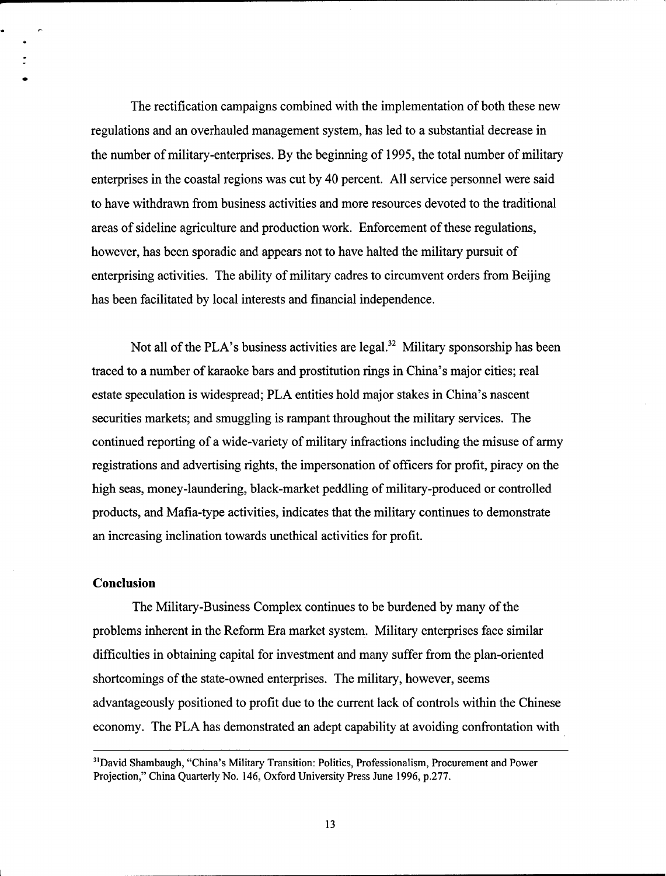The rectification campaigns combined with the implementation of both these new regulations and an overhauled management system, has led to a substantial decrease in the number of military-enterprises. By the beginning of 1995, the total number of military enterprises in the coastal regions was cut by 40 percent. All service personnel were said to have withdrawn from business activities and more resources devoted to the traditional areas of sideline agriculture and production work. Enforcement of these regulations, however, has been sporadic and appears not to have halted the military pursuit of enterprising activities. The ability of military cadres to circumvent orders from Beijing has been facilitated by local interests and financial independence.

Not all of the PLA's business activities are legal.<sup>32</sup> Military sponsorship has been traced to a number of karaoke bars and prostitution rings in China's major cities; real estate speculation is widespread; PLA entities hold major stakes in China's nascent securities markets; and smuggling is rampant throughout the military services. The continued reporting of a wide-variety of military infractions including the misuse of army registrations and advertising rights, the impersonation of officers for profit, piracy on the high seas, money-laundering, black-market peddling of military-produced or controlled products, and Mafia-type activities, indicates that the military continues to demonstrate an increasing inclination towards unethical activities for profit.

### **Conclusion**

The Military-Business Complex continues to be burdened by many of the problems inherent in the Reform Era market system. Military enterprises face similar difficulties in obtaining capital for investment and many suffer from the plan-oriented shortcomings of the state-owned enterprises. The military, however, seems advantageously positioned to profit due to the current lack of controls within the Chinese economy. The PLA has demonstrated an adept capability at avoiding confrontation with

<sup>&</sup>lt;sup>31</sup>David Shambaugh, "China's Military Transition: Politics, Professionalism, Procurement and Power Projection," China Quarterly No. 146, Oxford University Press June 1996, p.277.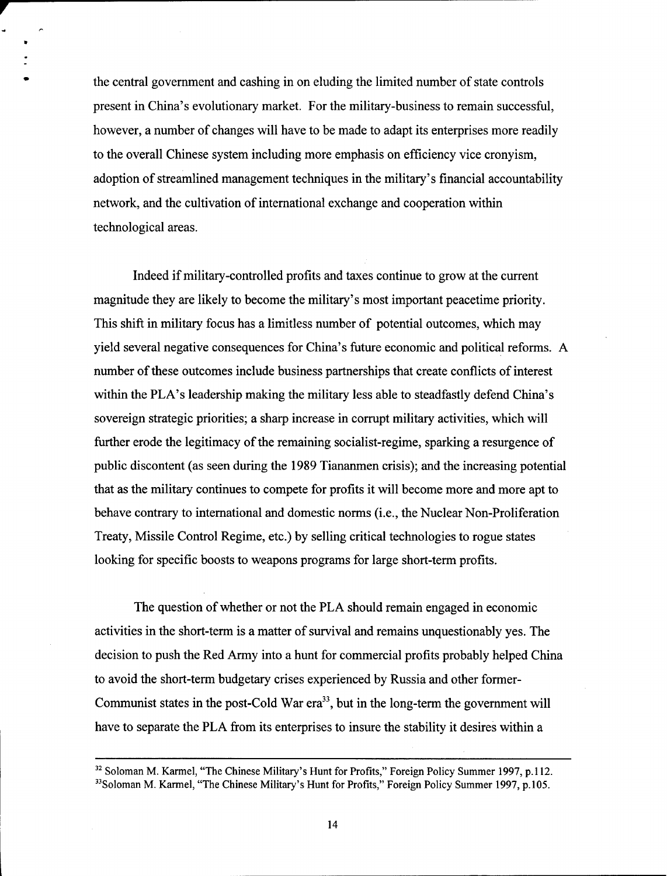the central government and cashing in on eluding the limited number of state controls present in China's evolutionary market. For the military-business to remain successful, however, a number of changes will have to be made to adapt its enterprises more readily to the overall Chinese system including more emphasis on efficiency vice cronyism, adoption of streamlined management techniques in the military's financial accountability network, and the cultivation of international exchange and cooperation within technological areas.

Indeed if military-controlled profits and taxes continue to grow at the current magnitude they are likely to become the military's most important peacetime priority. This shift in military focus has a limitless number of potential outcomes, which may yield several negative consequences for China's future economic and political reforms. A number of these outcomes include business partnerships that create conflicts of interest within the PLA's leadership making the military less able to steadfastly defend China's sovereign strategic priorities; a sharp increase in corrupt military activities, which will further erode the legitimacy of the remaining socialist-regime, sparking a resurgence of public discontent (as seen during the 1989 Tiananmen crisis); and the increasing potential that as the military continues to compete for profits it will become more and more apt to behave contrary to international and domestic norms (i.e., the Nuclear Non-Proliferation Treaty, Missile Control Regime, etc.) by selling critical technologies to rogue states looking for specific boosts to weapons programs for large short-term profits.

The question of whether or not the PLA should remain engaged in economic activities in the short-term is a matter of survival and remains unquestionably yes. The decision to push the Red Army into a hunt for commercial profits probably helped China to avoid the short-term budgetary crises experienced by Russia and other former-Communist states in the post-Cold War era<sup>33</sup>, but in the long-term the government will have to separate the PLA from its enterprises to insure the stability it desires within a

<sup>&</sup>lt;sup>32</sup> Soloman M. Karmel, "The Chinese Military's Hunt for Profits," Foreign Policy Summer 1997, p.112. <sup>33</sup>Soloman M. Karmel, "The Chinese Military's Hunt for Profits," Foreign Policy Summer 1997, p.105.